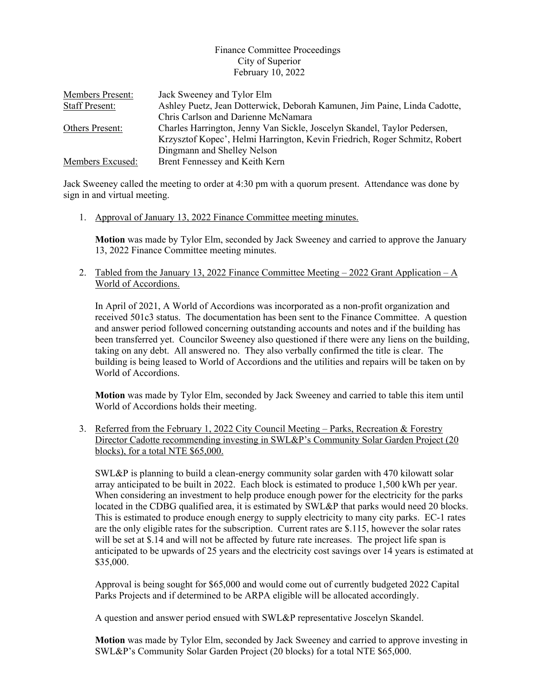## Finance Committee Proceedings City of Superior February 10, 2022

| Members Present:      | Jack Sweeney and Tylor Elm                                                 |
|-----------------------|----------------------------------------------------------------------------|
| <b>Staff Present:</b> | Ashley Puetz, Jean Dotterwick, Deborah Kamunen, Jim Paine, Linda Cadotte,  |
|                       | Chris Carlson and Darienne McNamara                                        |
| Others Present:       | Charles Harrington, Jenny Van Sickle, Joscelyn Skandel, Taylor Pedersen,   |
|                       | Krzysztof Kopec', Helmi Harrington, Kevin Friedrich, Roger Schmitz, Robert |
|                       | Dingmann and Shelley Nelson                                                |
| Members Excused:      | Brent Fennessey and Keith Kern                                             |

Jack Sweeney called the meeting to order at 4:30 pm with a quorum present. Attendance was done by sign in and virtual meeting.

1. Approval of January 13, 2022 Finance Committee meeting minutes.

**Motion** was made by Tylor Elm, seconded by Jack Sweeney and carried to approve the January 13, 2022 Finance Committee meeting minutes.

2. Tabled from the January 13, 2022 Finance Committee Meeting  $-2022$  Grant Application  $-A$ World of Accordions.

In April of 2021, A World of Accordions was incorporated as a non-profit organization and received 501c3 status. The documentation has been sent to the Finance Committee. A question and answer period followed concerning outstanding accounts and notes and if the building has been transferred yet. Councilor Sweeney also questioned if there were any liens on the building, taking on any debt. All answered no. They also verbally confirmed the title is clear. The building is being leased to World of Accordions and the utilities and repairs will be taken on by World of Accordions.

**Motion** was made by Tylor Elm, seconded by Jack Sweeney and carried to table this item until World of Accordions holds their meeting.

3. Referred from the February 1, 2022 City Council Meeting – Parks, Recreation & Forestry Director Cadotte recommending investing in SWL&P's Community Solar Garden Project (20 blocks), for a total NTE \$65,000.

SWL&P is planning to build a clean-energy community solar garden with 470 kilowatt solar array anticipated to be built in 2022. Each block is estimated to produce 1,500 kWh per year. When considering an investment to help produce enough power for the electricity for the parks located in the CDBG qualified area, it is estimated by SWL&P that parks would need 20 blocks. This is estimated to produce enough energy to supply electricity to many city parks. EC-1 rates are the only eligible rates for the subscription. Current rates are \$.115, however the solar rates will be set at \$.14 and will not be affected by future rate increases. The project life span is anticipated to be upwards of 25 years and the electricity cost savings over 14 years is estimated at \$35,000.

Approval is being sought for \$65,000 and would come out of currently budgeted 2022 Capital Parks Projects and if determined to be ARPA eligible will be allocated accordingly.

A question and answer period ensued with SWL&P representative Joscelyn Skandel.

**Motion** was made by Tylor Elm, seconded by Jack Sweeney and carried to approve investing in SWL&P's Community Solar Garden Project (20 blocks) for a total NTE \$65,000.